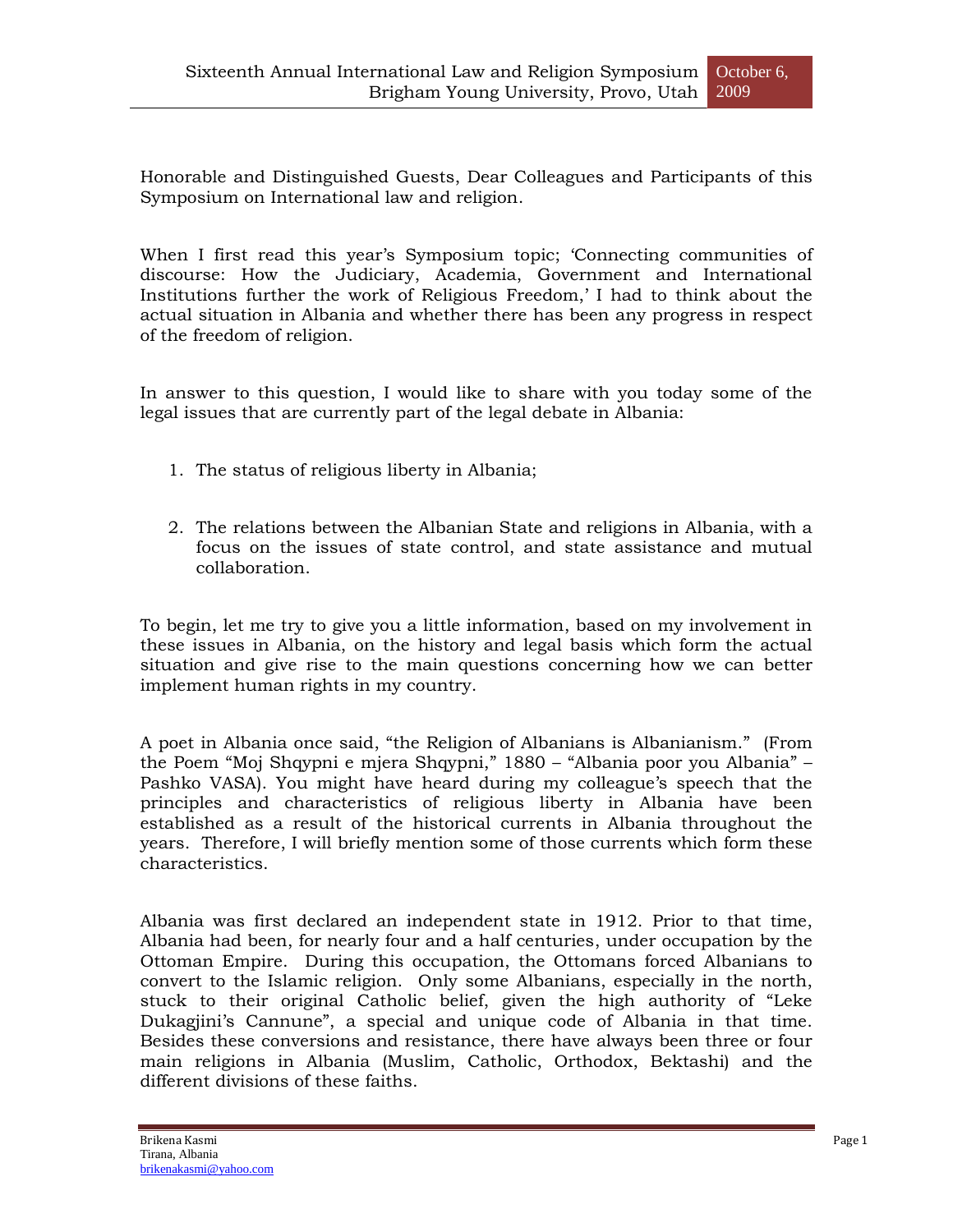Honorable and Distinguished Guests, Dear Colleagues and Participants of this Symposium on International law and religion.

When I first read this year's Symposium topic; 'Connecting communities of discourse: How the Judiciary, Academia, Government and International Institutions further the work of Religious Freedom," I had to think about the actual situation in Albania and whether there has been any progress in respect of the freedom of religion.

In answer to this question, I would like to share with you today some of the legal issues that are currently part of the legal debate in Albania:

- 1. The status of religious liberty in Albania;
- 2. The relations between the Albanian State and religions in Albania, with a focus on the issues of state control, and state assistance and mutual collaboration.

To begin, let me try to give you a little information, based on my involvement in these issues in Albania, on the history and legal basis which form the actual situation and give rise to the main questions concerning how we can better implement human rights in my country.

A poet in Albania once said, "the Religion of Albanians is Albanianism." (From the Poem "Moj Shqypni e mjera Shqypni," 1880 – "Albania poor you Albania" – Pashko VASA). You might have heard during my colleague's speech that the principles and characteristics of religious liberty in Albania have been established as a result of the historical currents in Albania throughout the years. Therefore, I will briefly mention some of those currents which form these characteristics.

Albania was first declared an independent state in 1912. Prior to that time, Albania had been, for nearly four and a half centuries, under occupation by the Ottoman Empire. During this occupation, the Ottomans forced Albanians to convert to the Islamic religion. Only some Albanians, especially in the north, stuck to their original Catholic belief, given the high authority of "Leke Dukagjini"s Cannune", a special and unique code of Albania in that time. Besides these conversions and resistance, there have always been three or four main religions in Albania (Muslim, Catholic, Orthodox, Bektashi) and the different divisions of these faiths.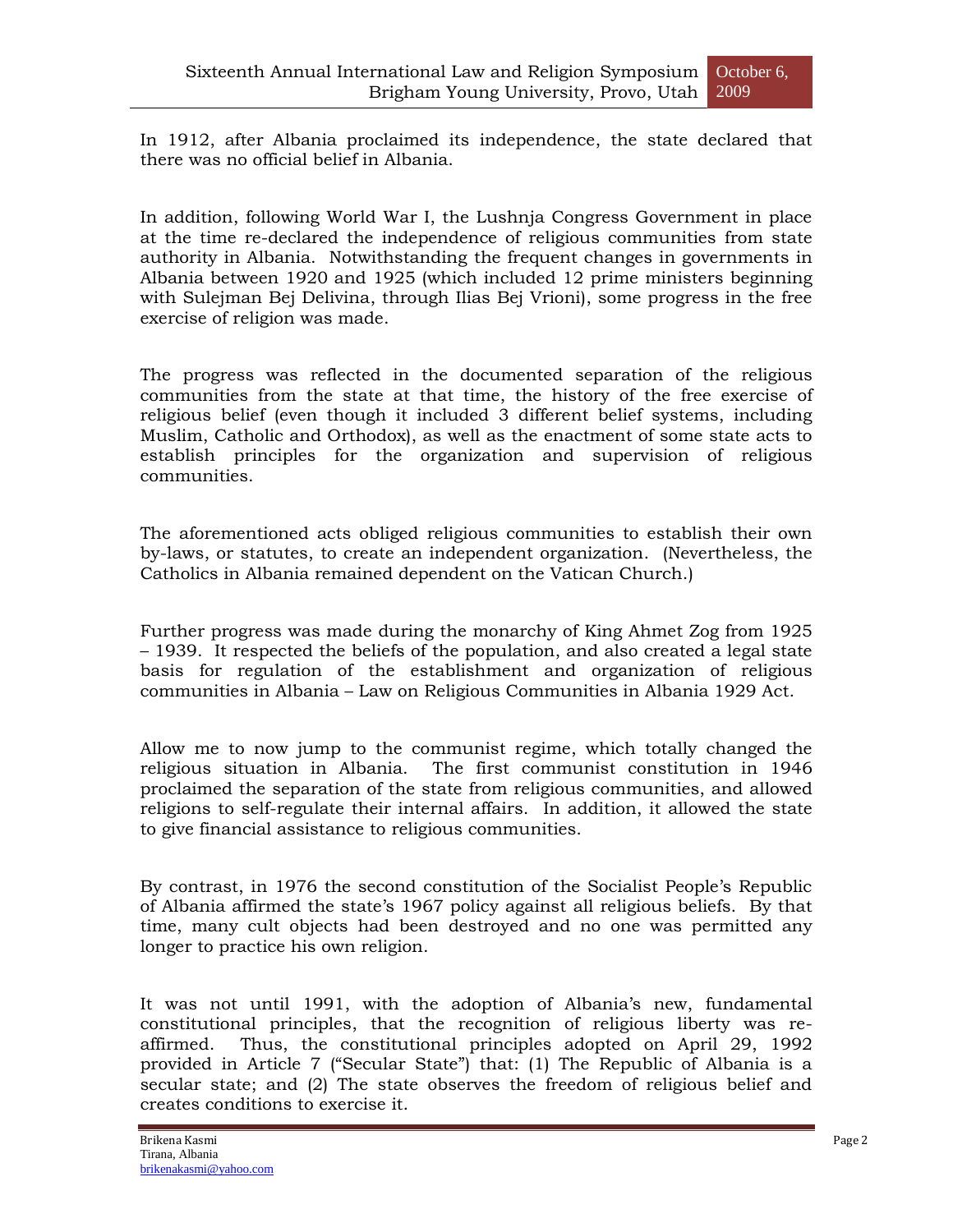In 1912, after Albania proclaimed its independence, the state declared that there was no official belief in Albania.

In addition, following World War I, the Lushnja Congress Government in place at the time re-declared the independence of religious communities from state authority in Albania. Notwithstanding the frequent changes in governments in Albania between 1920 and 1925 (which included 12 prime ministers beginning with Sulejman Bej Delivina, through Ilias Bej Vrioni), some progress in the free exercise of religion was made.

The progress was reflected in the documented separation of the religious communities from the state at that time, the history of the free exercise of religious belief (even though it included 3 different belief systems, including Muslim, Catholic and Orthodox), as well as the enactment of some state acts to establish principles for the organization and supervision of religious communities.

The aforementioned acts obliged religious communities to establish their own by-laws, or statutes, to create an independent organization. (Nevertheless, the Catholics in Albania remained dependent on the Vatican Church.)

Further progress was made during the monarchy of King Ahmet Zog from 1925 – 1939. It respected the beliefs of the population, and also created a legal state basis for regulation of the establishment and organization of religious communities in Albania – Law on Religious Communities in Albania 1929 Act.

Allow me to now jump to the communist regime, which totally changed the religious situation in Albania. The first communist constitution in 1946 proclaimed the separation of the state from religious communities, and allowed religions to self-regulate their internal affairs. In addition, it allowed the state to give financial assistance to religious communities.

By contrast, in 1976 the second constitution of the Socialist People"s Republic of Albania affirmed the state"s 1967 policy against all religious beliefs. By that time, many cult objects had been destroyed and no one was permitted any longer to practice his own religion.

It was not until 1991, with the adoption of Albania's new, fundamental constitutional principles, that the recognition of religious liberty was reaffirmed. Thus, the constitutional principles adopted on April 29, 1992 provided in Article 7 ("Secular State") that: (1) The Republic of Albania is a secular state; and (2) The state observes the freedom of religious belief and creates conditions to exercise it.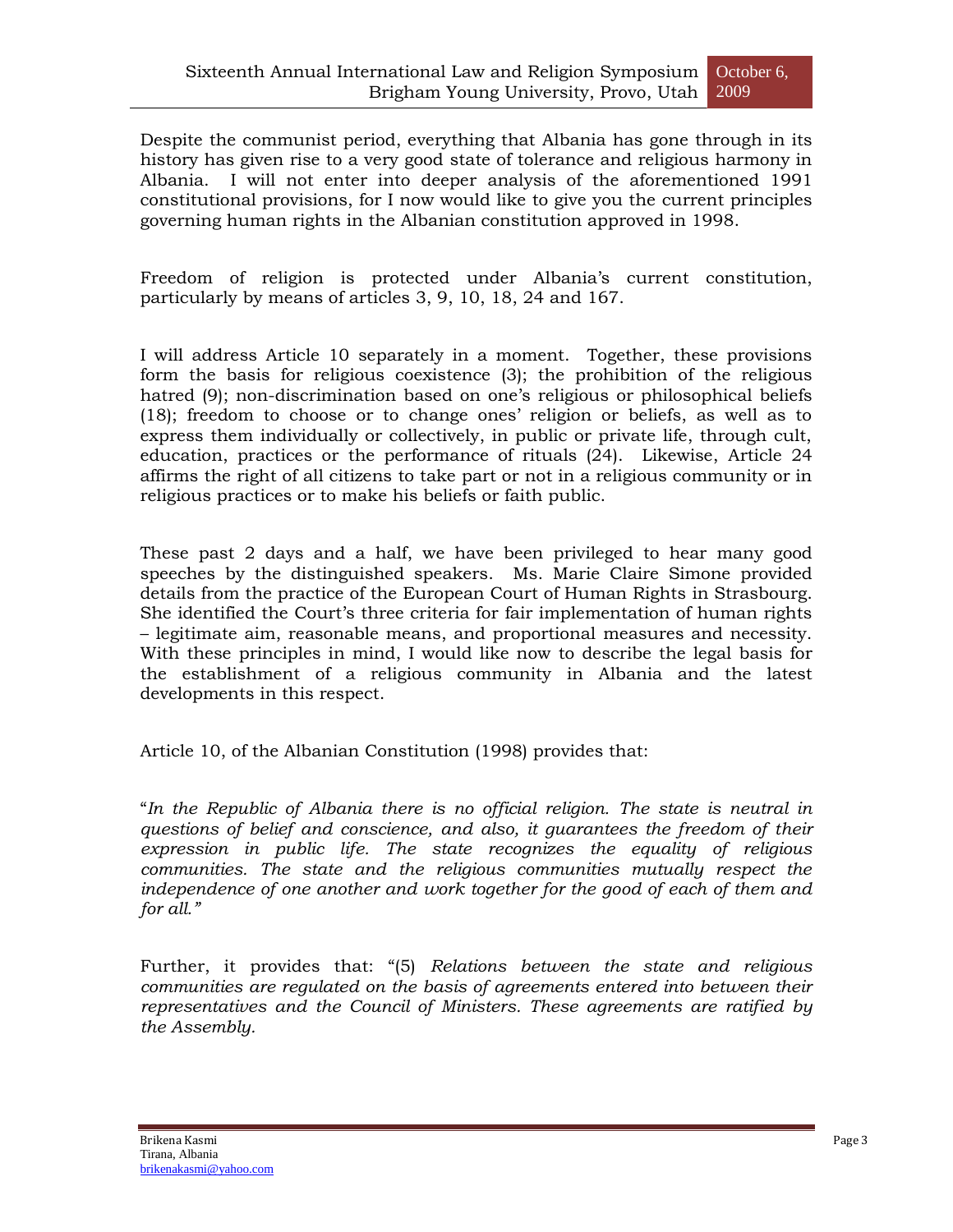Despite the communist period, everything that Albania has gone through in its history has given rise to a very good state of tolerance and religious harmony in Albania. I will not enter into deeper analysis of the aforementioned 1991 constitutional provisions, for I now would like to give you the current principles governing human rights in the Albanian constitution approved in 1998.

Freedom of religion is protected under Albania's current constitution, particularly by means of articles 3, 9, 10, 18, 24 and 167.

I will address Article 10 separately in a moment. Together, these provisions form the basis for religious coexistence (3); the prohibition of the religious hatred (9); non-discrimination based on one's religious or philosophical beliefs (18); freedom to choose or to change ones" religion or beliefs, as well as to express them individually or collectively, in public or private life, through cult, education, practices or the performance of rituals (24). Likewise, Article 24 affirms the right of all citizens to take part or not in a religious community or in religious practices or to make his beliefs or faith public.

These past 2 days and a half, we have been privileged to hear many good speeches by the distinguished speakers. Ms. Marie Claire Simone provided details from the practice of the European Court of Human Rights in Strasbourg. She identified the Court's three criteria for fair implementation of human rights – legitimate aim, reasonable means, and proportional measures and necessity. With these principles in mind, I would like now to describe the legal basis for the establishment of a religious community in Albania and the latest developments in this respect.

Article 10, of the Albanian Constitution (1998) provides that:

"*In the Republic of Albania there is no official religion. The state is neutral in questions of belief and conscience, and also, it guarantees the freedom of their expression in public life. The state recognizes the equality of religious communities. The state and the religious communities mutually respect the independence of one another and work together for the good of each of them and for all."*

Further, it provides that: "(5) *Relations between the state and religious communities are regulated on the basis of agreements entered into between their representatives and the Council of Ministers. These agreements are ratified by the Assembly.*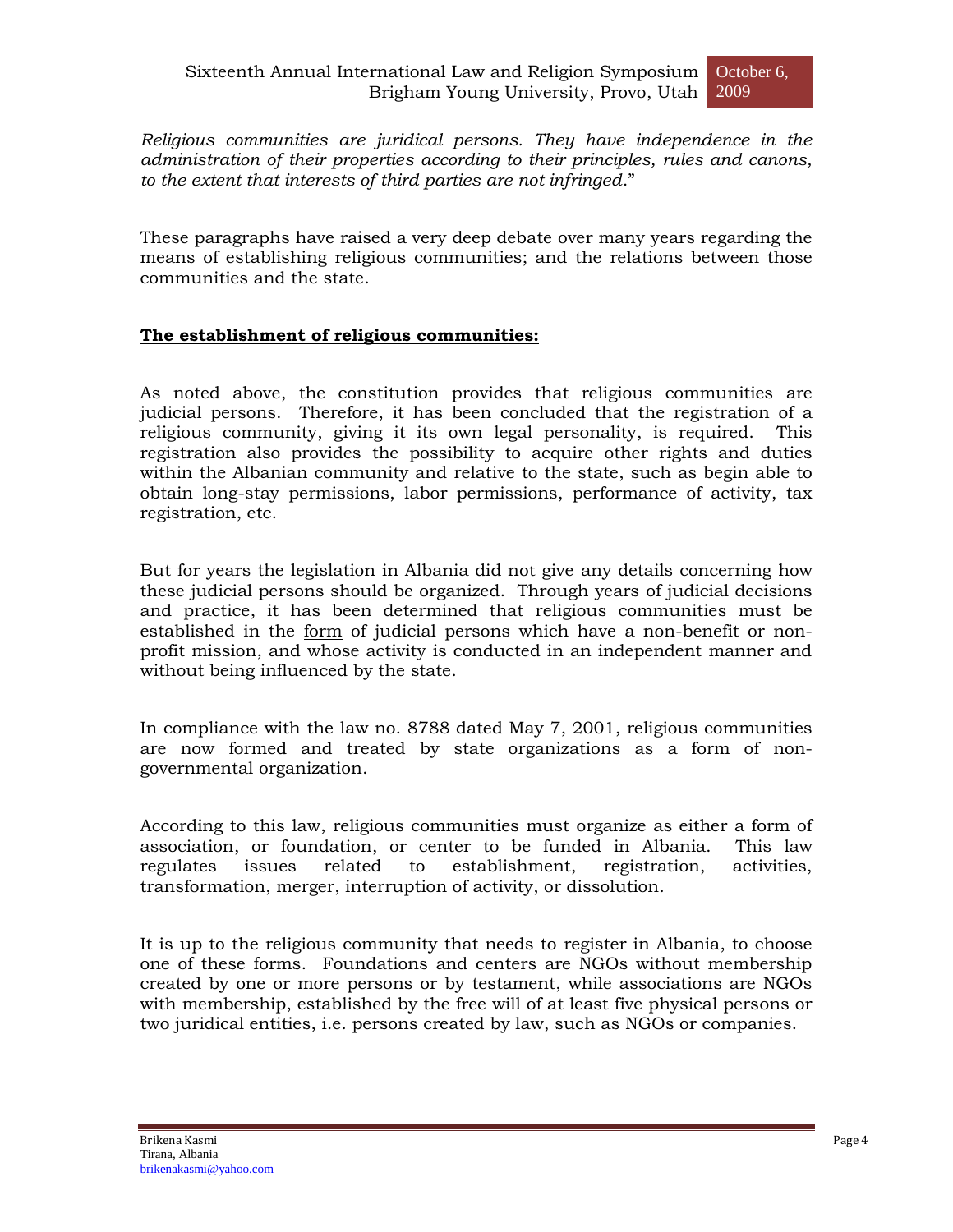*Religious communities are juridical persons. They have independence in the administration of their properties according to their principles, rules and canons, to the extent that interests of third parties are not infringed*."

These paragraphs have raised a very deep debate over many years regarding the means of establishing religious communities; and the relations between those communities and the state.

## **The establishment of religious communities:**

As noted above, the constitution provides that religious communities are judicial persons. Therefore, it has been concluded that the registration of a religious community, giving it its own legal personality, is required. This registration also provides the possibility to acquire other rights and duties within the Albanian community and relative to the state, such as begin able to obtain long-stay permissions, labor permissions, performance of activity, tax registration, etc.

But for years the legislation in Albania did not give any details concerning how these judicial persons should be organized. Through years of judicial decisions and practice, it has been determined that religious communities must be established in the form of judicial persons which have a non-benefit or nonprofit mission, and whose activity is conducted in an independent manner and without being influenced by the state.

In compliance with the law no. 8788 dated May 7, 2001, religious communities are now formed and treated by state organizations as a form of nongovernmental organization.

According to this law, religious communities must organize as either a form of association, or foundation, or center to be funded in Albania. This law regulates issues related to establishment, registration, activities, transformation, merger, interruption of activity, or dissolution.

It is up to the religious community that needs to register in Albania, to choose one of these forms. Foundations and centers are NGOs without membership created by one or more persons or by testament, while associations are NGOs with membership, established by the free will of at least five physical persons or two juridical entities, i.e. persons created by law, such as NGOs or companies.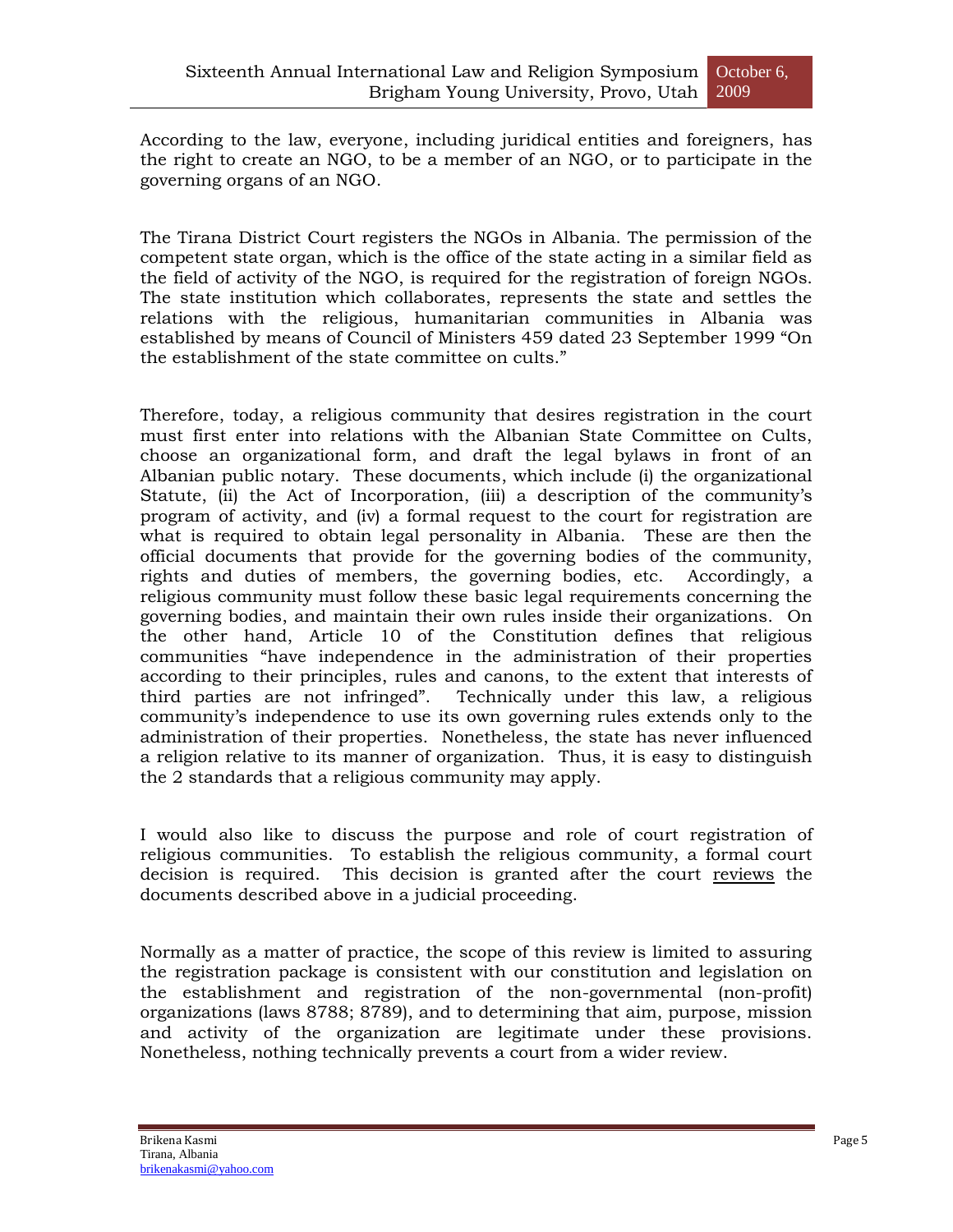According to the law, everyone, including juridical entities and foreigners, has the right to create an NGO, to be a member of an NGO, or to participate in the governing organs of an NGO.

The Tirana District Court registers the NGOs in Albania. The permission of the competent state organ, which is the office of the state acting in a similar field as the field of activity of the NGO, is required for the registration of foreign NGOs. The state institution which collaborates, represents the state and settles the relations with the religious, humanitarian communities in Albania was established by means of Council of Ministers 459 dated 23 September 1999 "On the establishment of the state committee on cults."

Therefore, today, a religious community that desires registration in the court must first enter into relations with the Albanian State Committee on Cults, choose an organizational form, and draft the legal bylaws in front of an Albanian public notary. These documents, which include (i) the organizational Statute, (ii) the Act of Incorporation, (iii) a description of the community's program of activity, and (iv) a formal request to the court for registration are what is required to obtain legal personality in Albania. These are then the official documents that provide for the governing bodies of the community, rights and duties of members, the governing bodies, etc. Accordingly, a religious community must follow these basic legal requirements concerning the governing bodies, and maintain their own rules inside their organizations. On the other hand, Article 10 of the Constitution defines that religious communities "have independence in the administration of their properties according to their principles, rules and canons, to the extent that interests of third parties are not infringed". Technically under this law, a religious community"s independence to use its own governing rules extends only to the administration of their properties. Nonetheless, the state has never influenced a religion relative to its manner of organization. Thus, it is easy to distinguish the 2 standards that a religious community may apply.

I would also like to discuss the purpose and role of court registration of religious communities. To establish the religious community, a formal court decision is required. This decision is granted after the court reviews the documents described above in a judicial proceeding.

Normally as a matter of practice, the scope of this review is limited to assuring the registration package is consistent with our constitution and legislation on the establishment and registration of the non-governmental (non-profit) organizations (laws 8788; 8789), and to determining that aim, purpose, mission and activity of the organization are legitimate under these provisions. Nonetheless, nothing technically prevents a court from a wider review.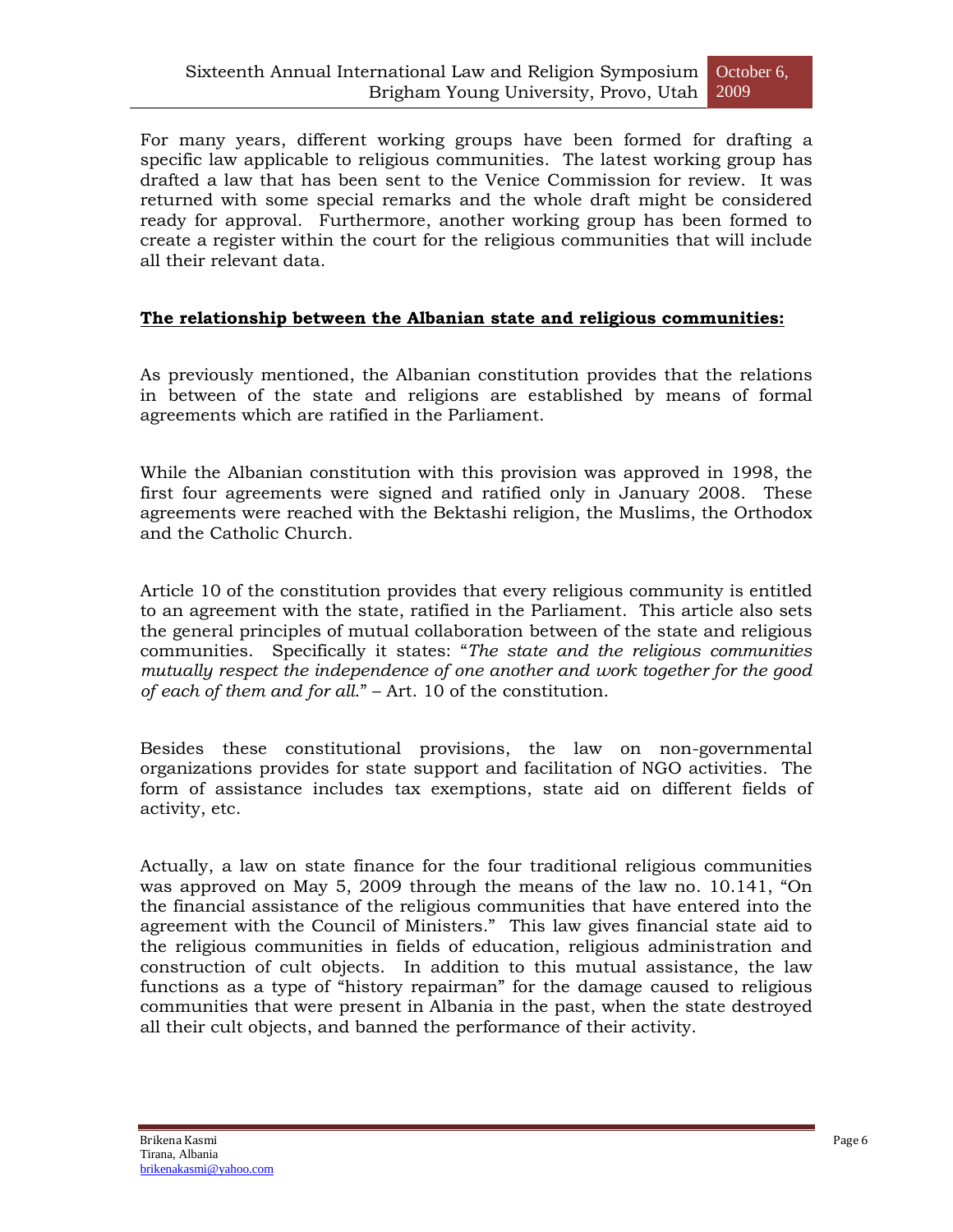For many years, different working groups have been formed for drafting a specific law applicable to religious communities. The latest working group has drafted a law that has been sent to the Venice Commission for review. It was returned with some special remarks and the whole draft might be considered ready for approval. Furthermore, another working group has been formed to create a register within the court for the religious communities that will include all their relevant data.

## **The relationship between the Albanian state and religious communities:**

As previously mentioned, the Albanian constitution provides that the relations in between of the state and religions are established by means of formal agreements which are ratified in the Parliament.

While the Albanian constitution with this provision was approved in 1998, the first four agreements were signed and ratified only in January 2008. These agreements were reached with the Bektashi religion, the Muslims, the Orthodox and the Catholic Church.

Article 10 of the constitution provides that every religious community is entitled to an agreement with the state, ratified in the Parliament. This article also sets the general principles of mutual collaboration between of the state and religious communities. Specifically it states: "*The state and the religious communities mutually respect the independence of one another and work together for the good of each of them and for all*." – Art. 10 of the constitution.

Besides these constitutional provisions, the law on non-governmental organizations provides for state support and facilitation of NGO activities. The form of assistance includes tax exemptions, state aid on different fields of activity, etc.

Actually, a law on state finance for the four traditional religious communities was approved on May 5, 2009 through the means of the law no. 10.141, "On the financial assistance of the religious communities that have entered into the agreement with the Council of Ministers." This law gives financial state aid to the religious communities in fields of education, religious administration and construction of cult objects. In addition to this mutual assistance, the law functions as a type of "history repairman" for the damage caused to religious communities that were present in Albania in the past, when the state destroyed all their cult objects, and banned the performance of their activity.